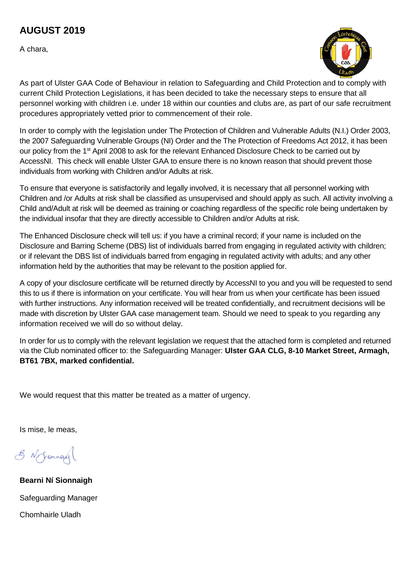## **AUGUST 2019**

A chara,



As part of Ulster GAA Code of Behaviour in relation to Safeguarding and Child Protection and to comply with current Child Protection Legislations, it has been decided to take the necessary steps to ensure that all personnel working with children i.e. under 18 within our counties and clubs are, as part of our safe recruitment procedures appropriately vetted prior to commencement of their role.

In order to comply with the legislation under The Protection of Children and Vulnerable Adults (N.I.) Order 2003, the 2007 Safeguarding Vulnerable Groups (NI) Order and the The Protection of Freedoms Act 2012, it has been our policy from the 1<sup>st</sup> April 2008 to ask for the relevant Enhanced Disclosure Check to be carried out by AccessNI. This check will enable Ulster GAA to ensure there is no known reason that should prevent those individuals from working with Children and/or Adults at risk.

To ensure that everyone is satisfactorily and legally involved, it is necessary that all personnel working with Children and /or Adults at risk shall be classified as unsupervised and should apply as such. All activity involving a Child and/Adult at risk will be deemed as training or coaching regardless of the specific role being undertaken by the individual insofar that they are directly accessible to Children and/or Adults at risk.

The Enhanced Disclosure check will tell us: if you have a criminal record; if your name is included on the Disclosure and Barring Scheme (DBS) list of individuals barred from engaging in regulated activity with children; or if relevant the DBS list of individuals barred from engaging in regulated activity with adults; and any other information held by the authorities that may be relevant to the position applied for.

A copy of your disclosure certificate will be returned directly by AccessNI to you and you will be requested to send this to us if there is information on your certificate. You will hear from us when your certificate has been issued with further instructions. Any information received will be treated confidentially, and recruitment decisions will be made with discretion by Ulster GAA case management team. Should we need to speak to you regarding any information received we will do so without delay.

In order for us to comply with the relevant legislation we request that the attached form is completed and returned via the Club nominated officer to: the Safeguarding Manager: **Ulster GAA CLG, 8-10 Market Street, Armagh, BT61 7BX, marked confidential.**

We would request that this matter be treated as a matter of urgency.

Is mise, le meas,

8 N Jonnas

**Bearni Ní Sionnaigh** Safeguarding Manager Chomhairle Uladh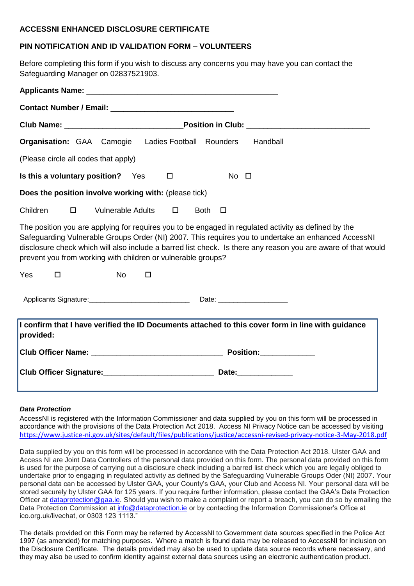#### **ACCESSNI ENHANCED DISCLOSURE CERTIFICATE**

### **PIN NOTIFICATION AND ID VALIDATION FORM – VOLUNTEERS**

Before completing this form if you wish to discuss any concerns you may have you can contact the Safeguarding Manager on 02837521903.

| <b>Organisation:</b> GAA Camogie Ladies Football Rounders<br>Handball                                                                                                                                                                                                                                                                                                                        |  |  |  |  |  |  |  |  |  |  |
|----------------------------------------------------------------------------------------------------------------------------------------------------------------------------------------------------------------------------------------------------------------------------------------------------------------------------------------------------------------------------------------------|--|--|--|--|--|--|--|--|--|--|
| (Please circle all codes that apply)                                                                                                                                                                                                                                                                                                                                                         |  |  |  |  |  |  |  |  |  |  |
| Is this a voluntary position? Yes<br>$No$ $\Box$<br>□                                                                                                                                                                                                                                                                                                                                        |  |  |  |  |  |  |  |  |  |  |
| Does the position involve working with: (please tick)                                                                                                                                                                                                                                                                                                                                        |  |  |  |  |  |  |  |  |  |  |
| Children<br><b>Vulnerable Adults</b><br>$\Box$<br>$\Box$<br><b>Both</b><br>□                                                                                                                                                                                                                                                                                                                 |  |  |  |  |  |  |  |  |  |  |
| The position you are applying for requires you to be engaged in regulated activity as defined by the<br>Safeguarding Vulnerable Groups Order (NI) 2007. This requires you to undertake an enhanced AccessNI<br>disclosure check which will also include a barred list check. Is there any reason you are aware of that would<br>prevent you from working with children or vulnerable groups? |  |  |  |  |  |  |  |  |  |  |
| Yes<br><b>No</b><br>$\Box$<br>$\Box$                                                                                                                                                                                                                                                                                                                                                         |  |  |  |  |  |  |  |  |  |  |
|                                                                                                                                                                                                                                                                                                                                                                                              |  |  |  |  |  |  |  |  |  |  |
| I confirm that I have verified the ID Documents attached to this cover form in line with guidance<br>provided:                                                                                                                                                                                                                                                                               |  |  |  |  |  |  |  |  |  |  |
| Position:_____________                                                                                                                                                                                                                                                                                                                                                                       |  |  |  |  |  |  |  |  |  |  |
| Club Officer Signature: Date: Date: Date: Date: Date: Date: Date: Date: Date: Date: Date: Date: Date: Date: D                                                                                                                                                                                                                                                                                |  |  |  |  |  |  |  |  |  |  |
|                                                                                                                                                                                                                                                                                                                                                                                              |  |  |  |  |  |  |  |  |  |  |

#### *Data Protection*

AccessNI is registered with the Information Commissioner and data supplied by you on this form will be processed in accordance with the provisions of the Data Protection Act 2018. Access NI Privacy Notice can be accessed by visiting <https://www.justice-ni.gov.uk/sites/default/files/publications/justice/accessni-revised-privacy-notice-3-May-2018.pdf>

Data supplied by you on this form will be processed in accordance with the Data Protection Act 2018. Ulster GAA and Access NI are Joint Data Controllers of the personal data provided on this form. The personal data provided on this form is used for the purpose of carrying out a disclosure check including a barred list check which you are legally obliged to undertake prior to engaging in regulated activity as defined by the Safeguarding Vulnerable Groups Oder (NI) 2007. Your personal data can be accessed by Ulster GAA, your County's GAA, your Club and Access NI. Your personal data will be stored securely by Ulster GAA for 125 years. If you require further information, please contact the GAA's Data Protection Officer at [dataprotection@gaa.ie.](mailto:dataprotection@gaa.ie) Should you wish to make a complaint or report a breach, you can do so by emailing the Data Protection Commission at info@dataprotection.je or by contacting the Information Commissioner's Office at ico.org.uk/livechat, or 0303 123 1113."

The details provided on this Form may be referred by AccessNI to Government data sources specified in the Police Act 1997 (as amended) for matching purposes. Where a match is found data may be released to AccessNI for inclusion on the Disclosure Certificate. The details provided may also be used to update data source records where necessary, and they may also be used to confirm identity against external data sources using an electronic authentication product.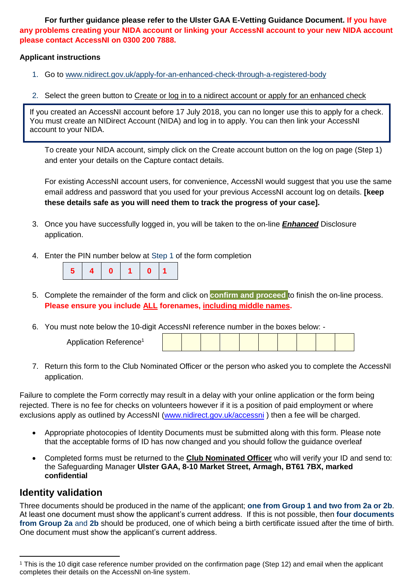**For further guidance please refer to the Ulster GAA E-Vetting Guidance Document. If you have any problems creating your NIDA account or linking your AccessNI account to your new NIDA account please contact AccessNI on 0300 200 7888.**

#### **Applicant instructions**

- 1. Go to [www.nidirect.gov.uk/apply-for-an-enhanced-check-through-a-registered-body](http://www.nidirect.gov.uk/apply-for-an-enhanced-check-through-a-registered-body)
- 2. Select the green button to Create or log in to a nidirect account or apply for an enhanced check

If you created an AccessNI account before 17 July 2018, you can no longer use this to apply for a check. You must create an NIDirect Account (NIDA) and log in to apply. You can then link your AccessNI account to your NIDA.

To create your NIDA account, simply click on the Create account button on the log on page (Step 1) and enter your details on the Capture contact details.

For existing AccessNI account users, for convenience, AccessNI would suggest that you use the same email address and password that you used for your previous AccessNI account log on details. **[keep these details safe as you will need them to track the progress of your case].**

- 3. Once you have successfully logged in, you will be taken to the on-line *Enhanced* Disclosure application.
- 4. Enter the PIN number below at Step 1 of the form completion

|--|--|

- 5. Complete the remainder of the form and click on **confirm and proceed** to finish the on-line process. **Please ensure you include ALL forenames, including middle names.**
- 6. You must note below the 10-digit AccessNI reference number in the boxes below: -

| Application Reference <sup>1</sup> |  |  |  |  |  |  |  |  |  |  |
|------------------------------------|--|--|--|--|--|--|--|--|--|--|
|------------------------------------|--|--|--|--|--|--|--|--|--|--|

7. Return this form to the Club Nominated Officer or the person who asked you to complete the AccessNI application.

Failure to complete the Form correctly may result in a delay with your online application or the form being rejected. There is no fee for checks on volunteers however if it is a position of paid employment or where exclusions apply as outlined by AccessNI [\(www.nidirect.gov.uk/accessni](http://www.nidirect.gov.uk/accessni)) then a fee will be charged.

- Appropriate photocopies of Identity Documents must be submitted along with this form. Please note that the acceptable forms of ID has now changed and you should follow the guidance overleaf
- Completed forms must be returned to the **Club Nominated Officer** who will verify your ID and send to: the Safeguarding Manager **Ulster GAA, 8-10 Market Street, Armagh, BT61 7BX, marked confidential**

### **Identity validation**

Three documents should be produced in the name of the applicant; **one from Group 1 and two from 2a or 2b**. At least one document must show the applicant's current address. If this is not possible, then **four documents from Group 2a** and **2b** should be produced, one of which being a birth certificate issued after the time of birth. One document must show the applicant's current address.

 $\ddot{\phantom{a}}$ <sup>1</sup> This is the 10 digit case reference number provided on the confirmation page (Step 12) and email when the applicant completes their details on the AccessNI on-line system.